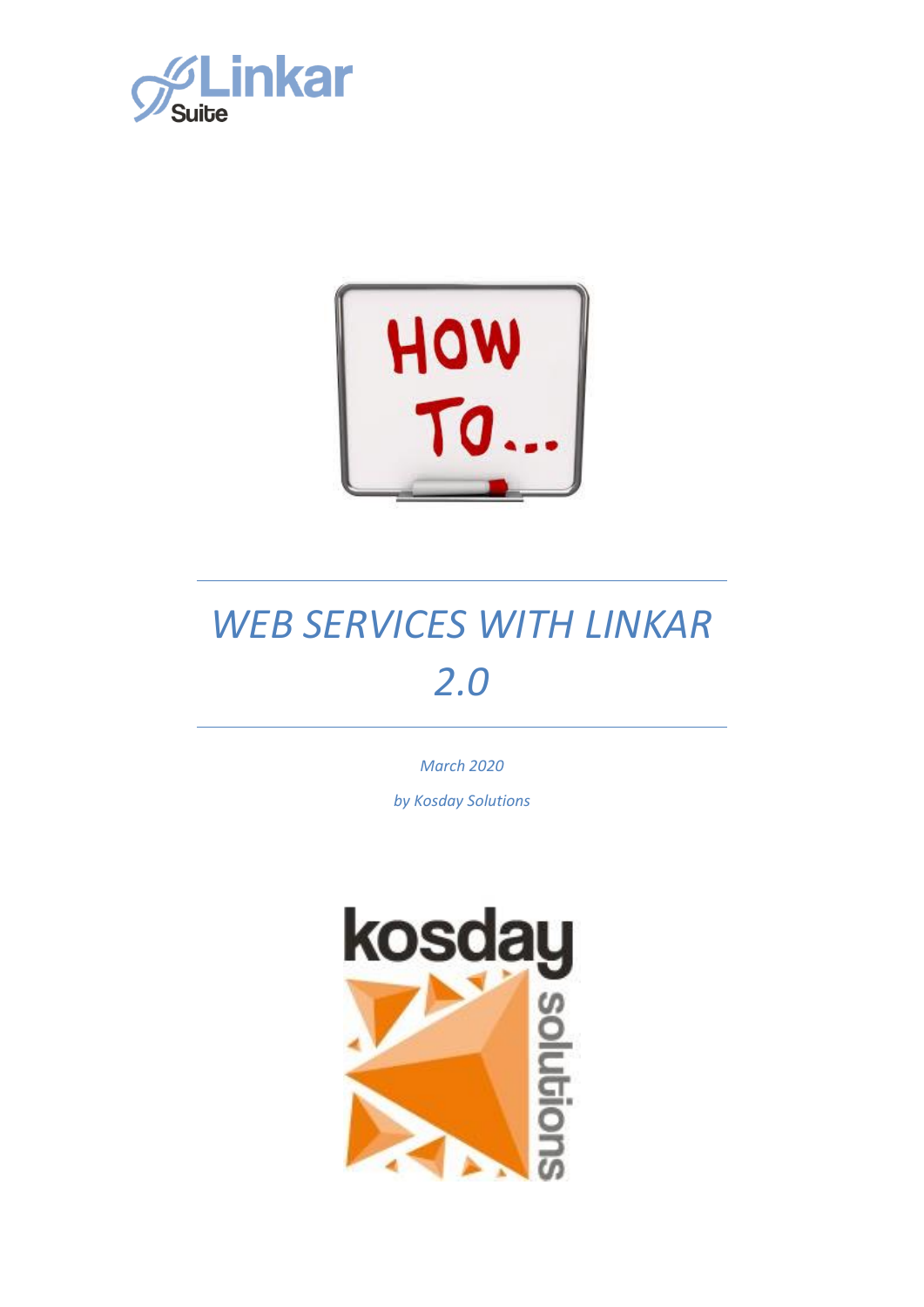



*March 2020*

*by Kosday Solutions*

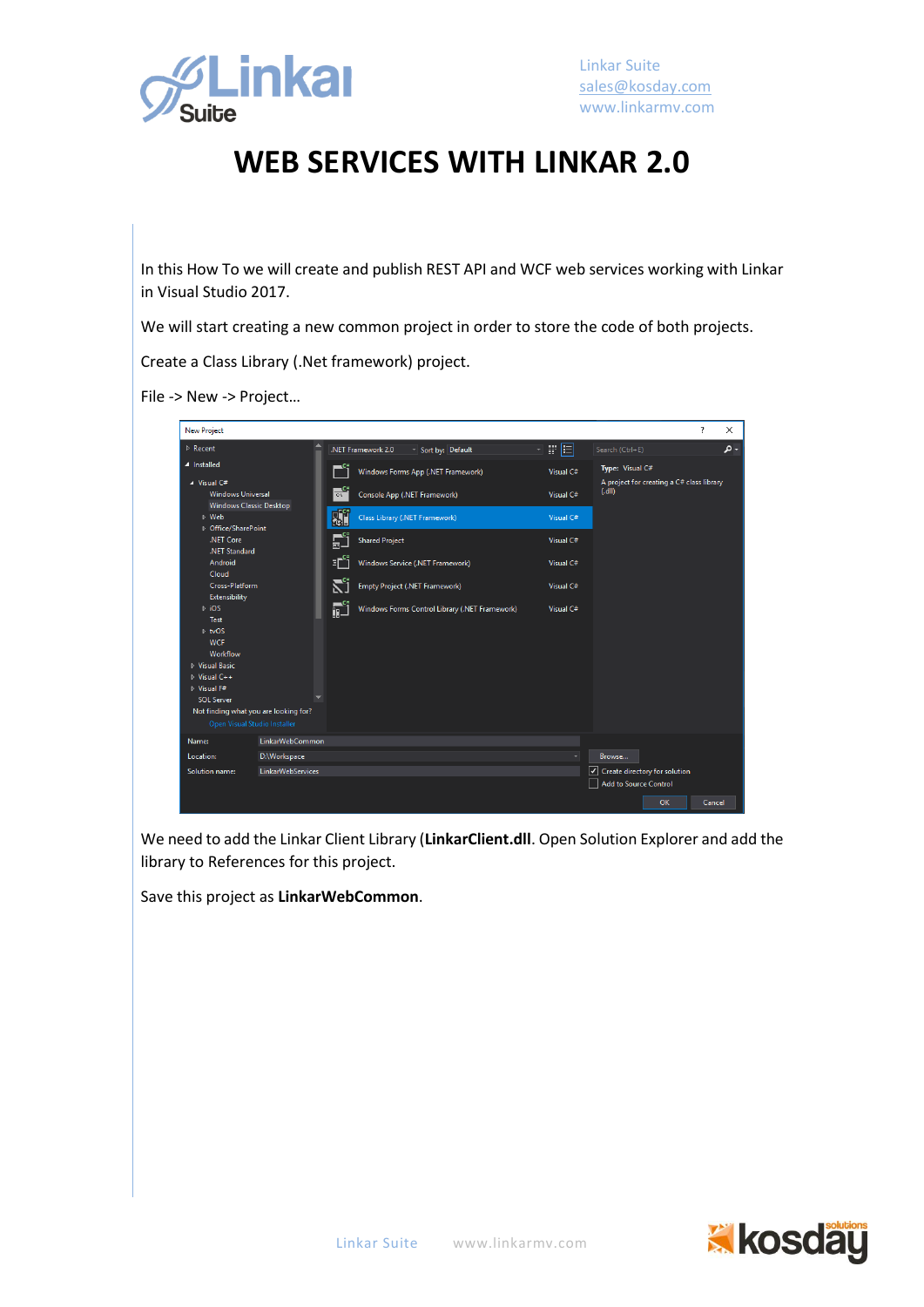

In this How To we will create and publish REST API and WCF web services working with Linkar in Visual Studio 2017.

We will start creating a new common project in order to store the code of both projects.

Create a Class Library (.Net framework) project.

File -> New -> Project…



We need to add the Linkar Client Library (**LinkarClient.dll**. Open Solution Explorer and add the library to References for this project.

Save this project as **LinkarWebCommon**.

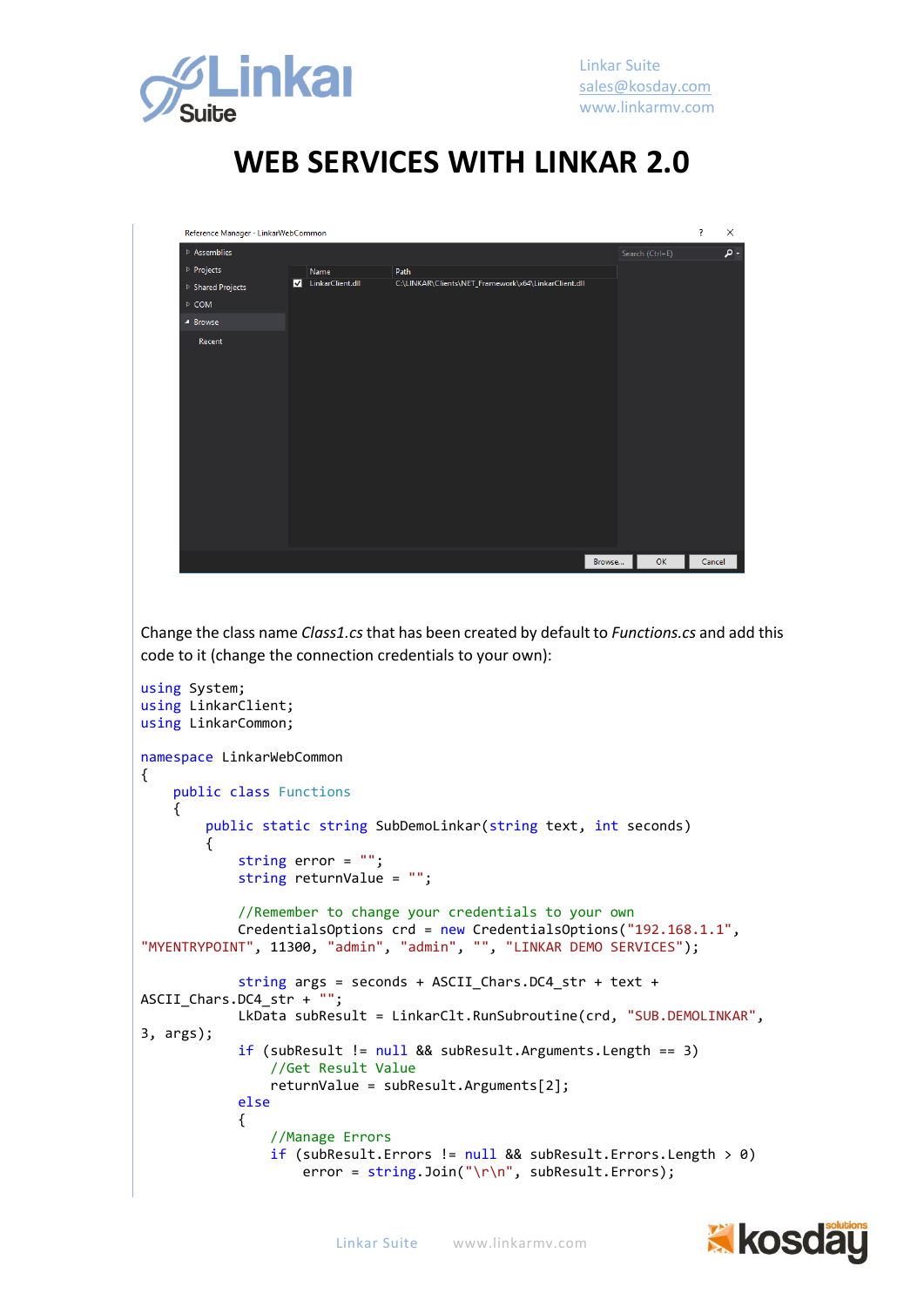

| Reference Manager - LinkarWebCommon |                         |                  |                                                      |        |                 | $\overline{\cdot}$ | ×   |
|-------------------------------------|-------------------------|------------------|------------------------------------------------------|--------|-----------------|--------------------|-----|
| $\triangleright$ Assemblies         |                         |                  |                                                      |        | Search (Ctrl+E) |                    | - م |
| ▷ Projects                          |                         | Name             | Path                                                 |        |                 |                    |     |
| ▷ Shared Projects                   | $\overline{\mathbf{v}}$ | LinkarClient.dll | C:\LINKAR\Clients\NET_Framework\x64\LinkarClient.dll |        |                 |                    |     |
| $\triangleright$ COM                |                         |                  |                                                      |        |                 |                    |     |
| ▲ Browse                            |                         |                  |                                                      |        |                 |                    |     |
| Recent                              |                         |                  |                                                      |        |                 |                    |     |
|                                     |                         |                  |                                                      |        |                 |                    |     |
|                                     |                         |                  |                                                      |        |                 |                    |     |
|                                     |                         |                  |                                                      |        |                 |                    |     |
|                                     |                         |                  |                                                      |        |                 |                    |     |
|                                     |                         |                  |                                                      |        |                 |                    |     |
|                                     |                         |                  |                                                      |        |                 |                    |     |
|                                     |                         |                  |                                                      |        |                 |                    |     |
|                                     |                         |                  |                                                      |        |                 |                    |     |
|                                     |                         |                  |                                                      |        |                 |                    |     |
|                                     |                         |                  |                                                      |        |                 |                    |     |
|                                     |                         |                  |                                                      |        |                 |                    |     |
|                                     |                         |                  |                                                      |        |                 |                    |     |
|                                     |                         |                  |                                                      | Browse | OK              | Cancel             |     |

Change the class name *Class1.cs* that has been created by default to *Functions.cs* and add this code to it (change the connection credentials to your own):

```
using System;
using LinkarClient;
using LinkarCommon;
namespace LinkarWebCommon
{
     public class Functions
     {
         public static string SubDemoLinkar(string text, int seconds)
         {
             string error = "";
             string returnValue = "";
             //Remember to change your credentials to your own
             CredentialsOptions crd = new CredentialsOptions("192.168.1.1", 
"MYENTRYPOINT", 11300, "admin", "admin", "", "LINKAR DEMO SERVICES");
             string args = seconds + ASCII_Chars.DC4_str + text + 
ASCII_Chars.DC4_str + "";
             LkData subResult = LinkarClt.RunSubroutine(crd, "SUB.DEMOLINKAR", 
3, args);
             if (subResult != null && subResult.Arguments.Length == 3)
                 //Get Result Value
                 returnValue = subResult.Arguments[2];
             else
\{ //Manage Errors
                if (subResult.Errors != null && subResult.Errors.Length > 0)
                    error = string.Join("\r\n", subResult.Errors);
```
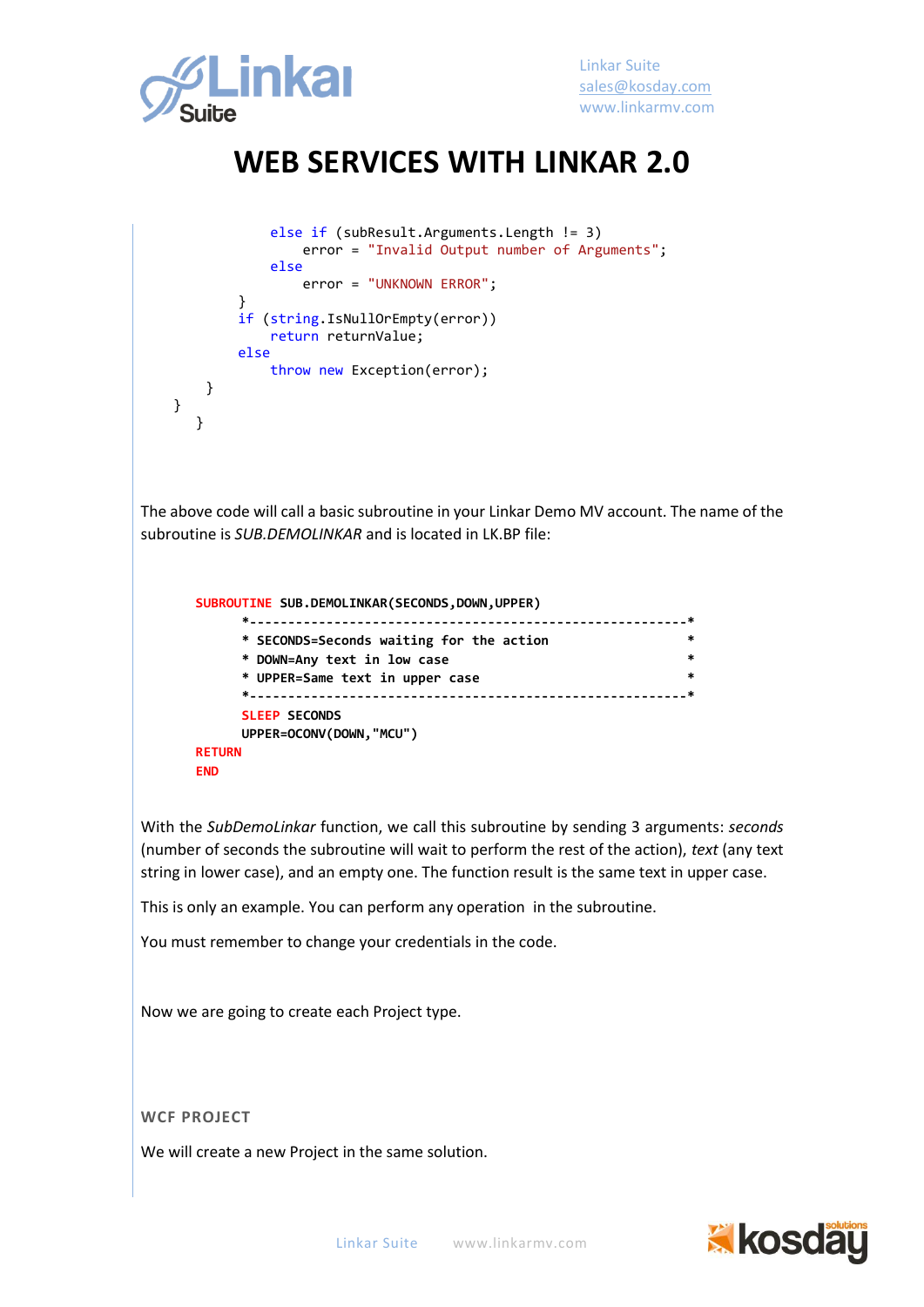

```
 else if (subResult.Arguments.Length != 3)
                      error = "Invalid Output number of Arguments";
                  else
                     error = "UNKNOWN ERROR";
 }
              if (string.IsNullOrEmpty(error))
                 return returnValue;
              else
                  throw new Exception(error);
         }
     }
       }
The above code will call a basic subroutine in your Linkar Demo MV account. The name of the 
subroutine is SUB.DEMOLINKAR and is located in LK.BP file:
       SUBROUTINE SUB.DEMOLINKAR(SECONDS,DOWN,UPPER)
              *---------------------------------------------------------*
              * SECONDS=Seconds waiting for the action *
              * DOWN=Any text in low case *
              * UPPER=Same text in upper case *
              *---------------------------------------------------------*
              SLEEP SECONDS
              UPPER=OCONV(DOWN,"MCU") 
       RETURN
       END
```
With the *SubDemoLinkar* function, we call this subroutine by sending 3 arguments: *seconds*  (number of seconds the subroutine will wait to perform the rest of the action), *text* (any text string in lower case), and an empty one. The function result is the same text in upper case.

This is only an example. You can perform any operation in the subroutine.

You must remember to change your credentials in the code.

Now we are going to create each Project type.

**WCF PROJECT**

We will create a new Project in the same solution.

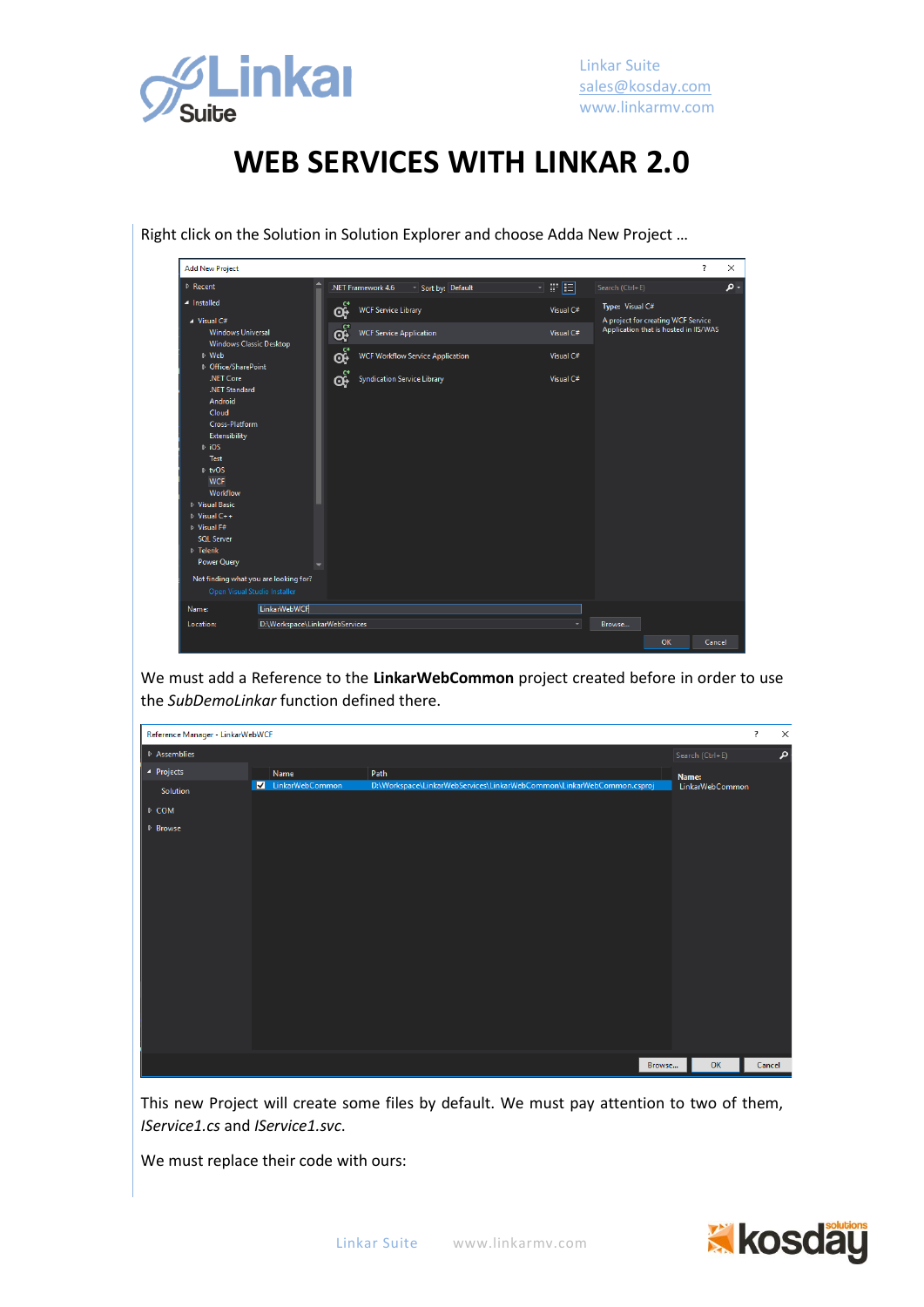

| $\triangleright$ Recent                                               |                                | .NET Framework 4.6 |                                         | Sort by: Default | 日間国       | Search (Ctrl+E)                                                             |  |
|-----------------------------------------------------------------------|--------------------------------|--------------------|-----------------------------------------|------------------|-----------|-----------------------------------------------------------------------------|--|
| ▲ Installed                                                           |                                | œ.                 | <b>WCF Service Library</b>              |                  | Visual C# | Type: Visual C#                                                             |  |
| $\blacktriangle$ Visual C#<br><b>Windows Universal</b>                |                                | Q.                 | <b>WCF Service Application</b>          |                  | Visual C# | A project for creating WCF Service<br>Application that is hosted in IIS/WAS |  |
| Windows Classic Desktop<br>▷ Web<br>D Office/SharePoint               |                                | ඈ                  | <b>WCF Workflow Service Application</b> |                  | Visual C# |                                                                             |  |
| .NET Core<br>.NET Standard                                            |                                | œ                  | <b>Syndication Service Library</b>      |                  | Visual C# |                                                                             |  |
| Android<br>Cloud                                                      |                                |                    |                                         |                  |           |                                                                             |  |
| Cross-Platform<br>Extensibility                                       |                                |                    |                                         |                  |           |                                                                             |  |
| $\triangleright$ iOS<br>Test                                          |                                |                    |                                         |                  |           |                                                                             |  |
| $\triangleright$ tvOS<br><b>WCF</b>                                   |                                |                    |                                         |                  |           |                                                                             |  |
| Workflow<br>▶ Visual Basic                                            |                                |                    |                                         |                  |           |                                                                             |  |
| D Visual C++<br>D Visual F#                                           |                                |                    |                                         |                  |           |                                                                             |  |
| <b>SOL Server</b><br>▷ Telerik                                        |                                |                    |                                         |                  |           |                                                                             |  |
| <b>Power Query</b>                                                    |                                |                    |                                         |                  |           |                                                                             |  |
| Not finding what you are looking for?<br>Open Visual Studio Installer |                                |                    |                                         |                  |           |                                                                             |  |
| Name:                                                                 | LinkarWebWCF                   |                    |                                         |                  |           |                                                                             |  |
| Location:                                                             | D:\Workspace\LinkarWebServices |                    |                                         |                  |           | Browse                                                                      |  |

Right click on the Solution in Solution Explorer and choose Adda New Project …

We must add a Reference to the **LinkarWebCommon** project created before in order to use the *SubDemoLinkar* function defined there.



This new Project will create some files by default. We must pay attention to two of them, *IService1.cs* and *IService1.svc*.

We must replace their code with ours:

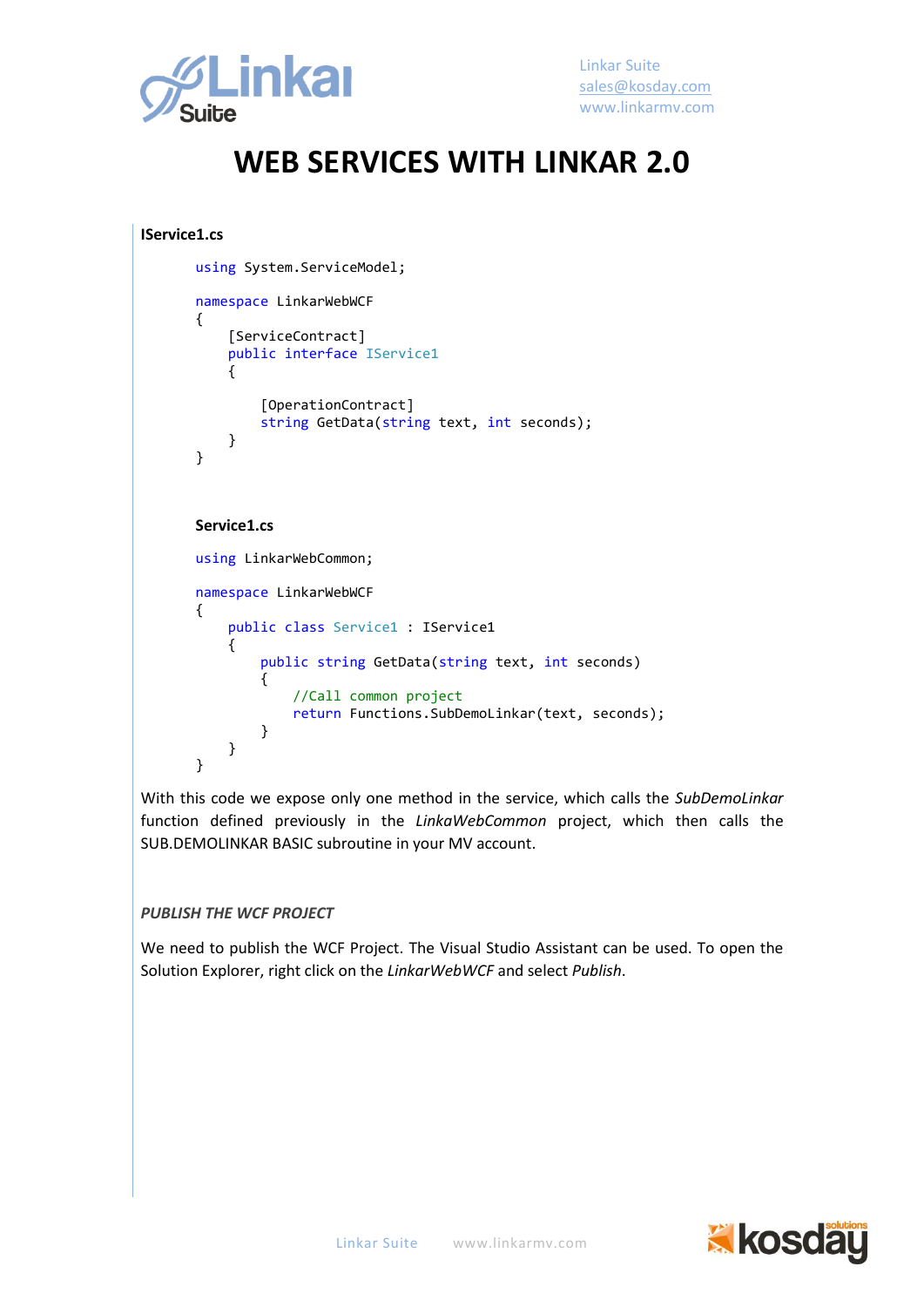

Linkar Suite [sales@kosday.com](mailto:sales@kosday.com) www.linkarmv.com

#### **WEB SERVICES WITH LINKAR 2.0**

```
IService1.cs
```

```
using System.ServiceModel;
namespace LinkarWebWCF
{
     [ServiceContract]
     public interface IService1
     {
         [OperationContract]
         string GetData(string text, int seconds);
     }
}
Service1.cs
using LinkarWebCommon;
namespace LinkarWebWCF
{
     public class Service1 : IService1
     {
         public string GetData(string text, int seconds)
```
//Call common project

} With this code we expose only one method in the service, which calls the *SubDemoLinkar* function defined previously in the *LinkaWebCommon* project, which then calls the SUB.DEMOLINKAR BASIC subroutine in your MV account.

return Functions.SubDemoLinkar(text, seconds);

#### *PUBLISH THE WCF PROJECT*

{

}

}

We need to publish the WCF Project. The Visual Studio Assistant can be used. To open the Solution Explorer, right click on the *LinkarWebWCF* and select *Publish*.

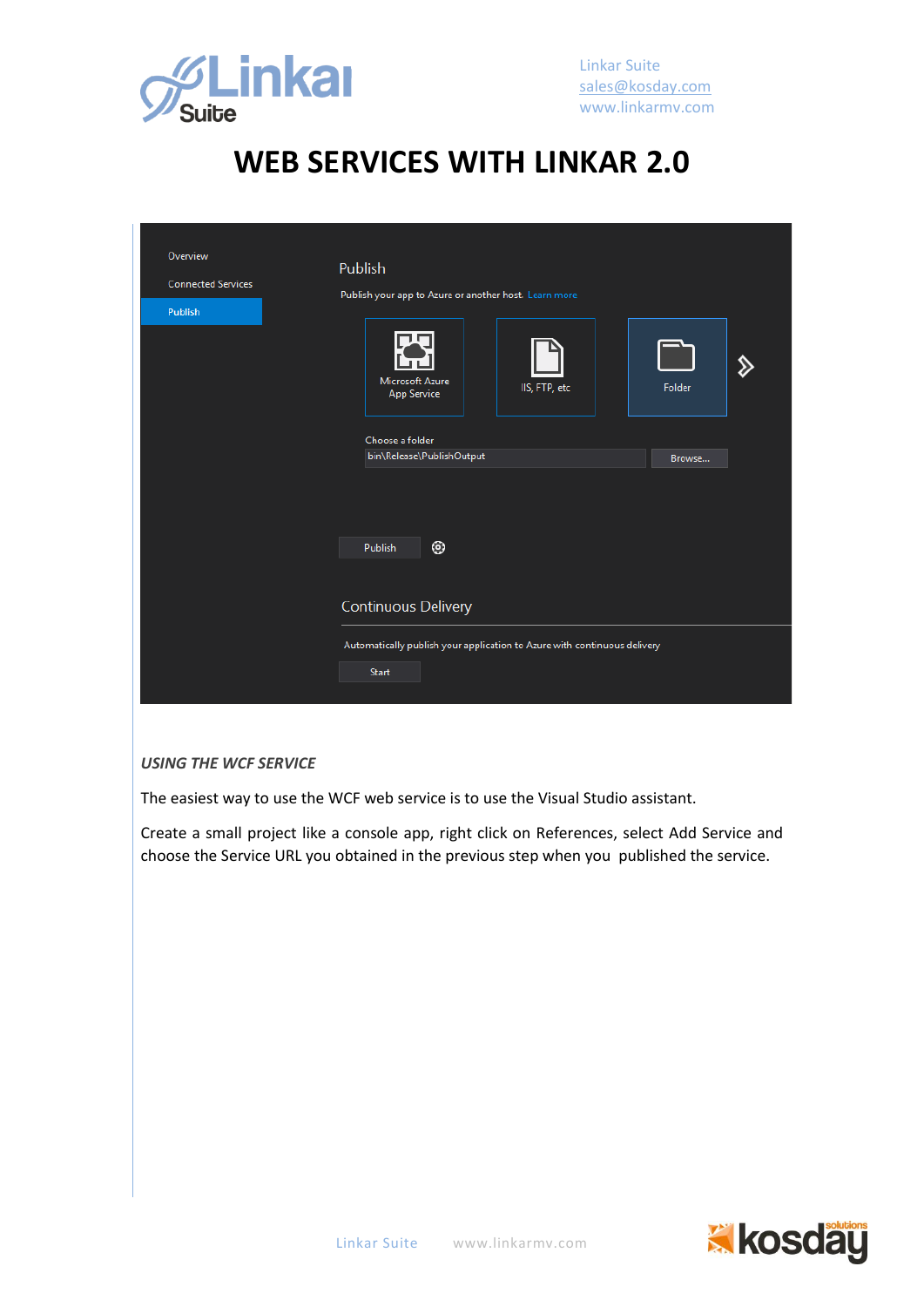

| Overview<br><b>Connected Services</b><br>Publish | Publish<br>Publish your app to Azure or another host. Learn more<br>Microsoft Azure<br>IIS, FTP, etc<br><b>App Service</b> | Folder |
|--------------------------------------------------|----------------------------------------------------------------------------------------------------------------------------|--------|
|                                                  | Choose a folder<br>bin\Release\PublishOutput<br>◉<br>Publish                                                               | Browse |
|                                                  | <b>Continuous Delivery</b><br>Automatically publish your application to Azure with continuous delivery<br>Start            |        |

#### *USING THE WCF SERVICE*

The easiest way to use the WCF web service is to use the Visual Studio assistant.

Create a small project like a console app, right click on References, select Add Service and choose the Service URL you obtained in the previous step when you published the service.

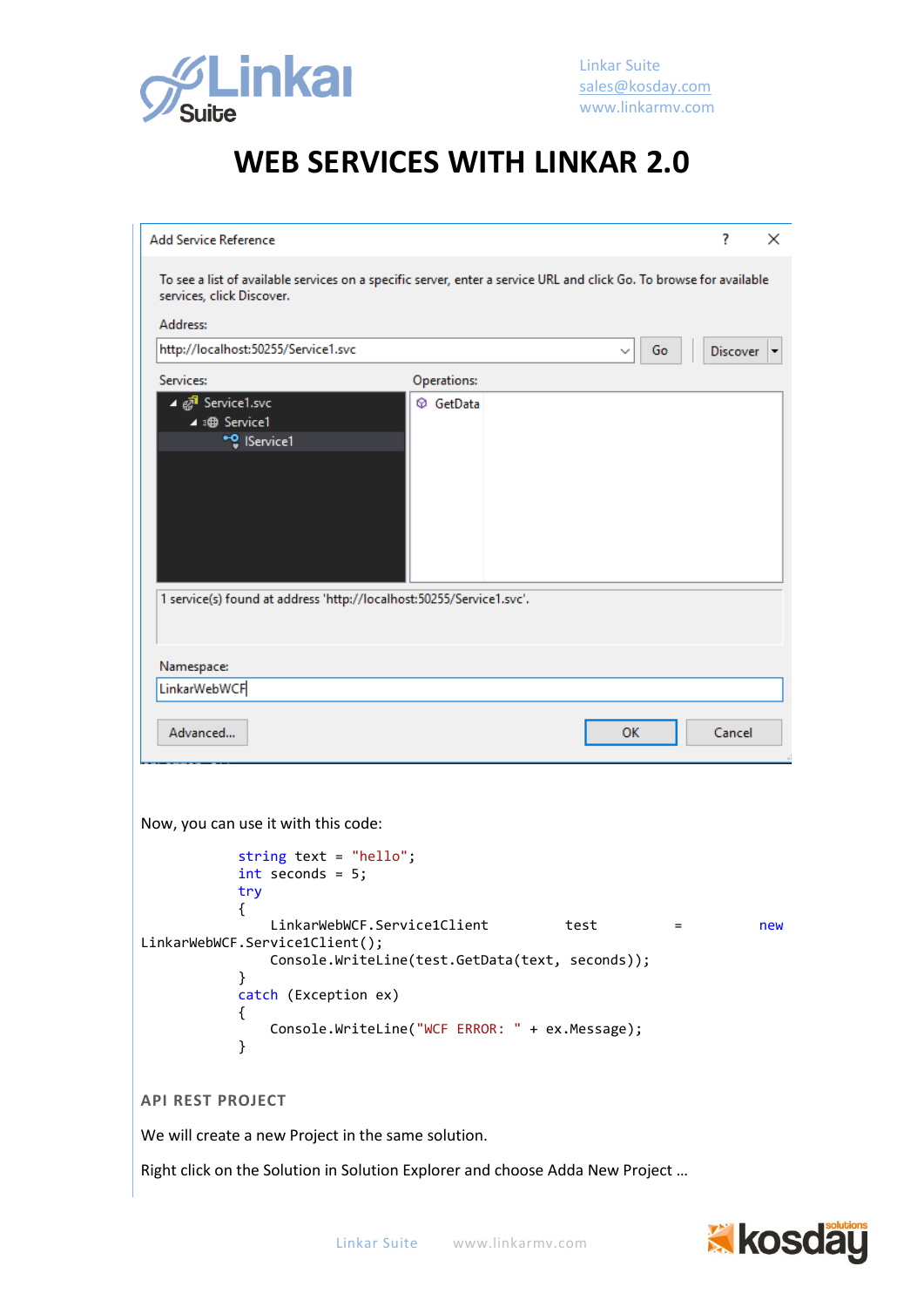

| <b>Add Service Reference</b><br>?<br>×<br>To see a list of available services on a specific server, enter a service URL and click Go. To browse for available<br>services, click Discover.<br>Address:<br>http://localhost:50255/Service1.svc<br>Go<br>Discover<br>Services:<br>Operations:<br>⊿ <i>ह्य</i> ी Service1.svc<br>C GetData<br>4 : <b>B</b> Service1<br>* <sup>0</sup> IService1<br>1 service(s) found at address 'http://localhost:50255/Service1.svc'.<br>Namespace:<br><b>LinkarWebWCF</b><br>Advanced<br>Cancel<br>ОΚ<br>Now, you can use it with this code:<br>string text = "hello";<br>$int$ seconds = $5$ ;<br>try<br>ł<br>LinkarWebWCF.Service1Client<br>test<br>new<br>$=$<br>LinkarWebWCF.Service1Client();<br>Console.WriteLine(test.GetData(text, seconds));<br>}<br>catch (Exception ex)<br>€<br>Console.WriteLine("WCF ERROR: " + ex.Message);<br>}<br><b>API REST PROJECT</b><br>We will create a new Project in the same solution. |  |  |  |  |
|-----------------------------------------------------------------------------------------------------------------------------------------------------------------------------------------------------------------------------------------------------------------------------------------------------------------------------------------------------------------------------------------------------------------------------------------------------------------------------------------------------------------------------------------------------------------------------------------------------------------------------------------------------------------------------------------------------------------------------------------------------------------------------------------------------------------------------------------------------------------------------------------------------------------------------------------------------------------|--|--|--|--|
|                                                                                                                                                                                                                                                                                                                                                                                                                                                                                                                                                                                                                                                                                                                                                                                                                                                                                                                                                                 |  |  |  |  |
|                                                                                                                                                                                                                                                                                                                                                                                                                                                                                                                                                                                                                                                                                                                                                                                                                                                                                                                                                                 |  |  |  |  |
|                                                                                                                                                                                                                                                                                                                                                                                                                                                                                                                                                                                                                                                                                                                                                                                                                                                                                                                                                                 |  |  |  |  |
|                                                                                                                                                                                                                                                                                                                                                                                                                                                                                                                                                                                                                                                                                                                                                                                                                                                                                                                                                                 |  |  |  |  |
|                                                                                                                                                                                                                                                                                                                                                                                                                                                                                                                                                                                                                                                                                                                                                                                                                                                                                                                                                                 |  |  |  |  |
|                                                                                                                                                                                                                                                                                                                                                                                                                                                                                                                                                                                                                                                                                                                                                                                                                                                                                                                                                                 |  |  |  |  |
|                                                                                                                                                                                                                                                                                                                                                                                                                                                                                                                                                                                                                                                                                                                                                                                                                                                                                                                                                                 |  |  |  |  |
|                                                                                                                                                                                                                                                                                                                                                                                                                                                                                                                                                                                                                                                                                                                                                                                                                                                                                                                                                                 |  |  |  |  |
|                                                                                                                                                                                                                                                                                                                                                                                                                                                                                                                                                                                                                                                                                                                                                                                                                                                                                                                                                                 |  |  |  |  |
|                                                                                                                                                                                                                                                                                                                                                                                                                                                                                                                                                                                                                                                                                                                                                                                                                                                                                                                                                                 |  |  |  |  |
|                                                                                                                                                                                                                                                                                                                                                                                                                                                                                                                                                                                                                                                                                                                                                                                                                                                                                                                                                                 |  |  |  |  |
|                                                                                                                                                                                                                                                                                                                                                                                                                                                                                                                                                                                                                                                                                                                                                                                                                                                                                                                                                                 |  |  |  |  |

Right click on the Solution in Solution Explorer and choose Adda New Project …

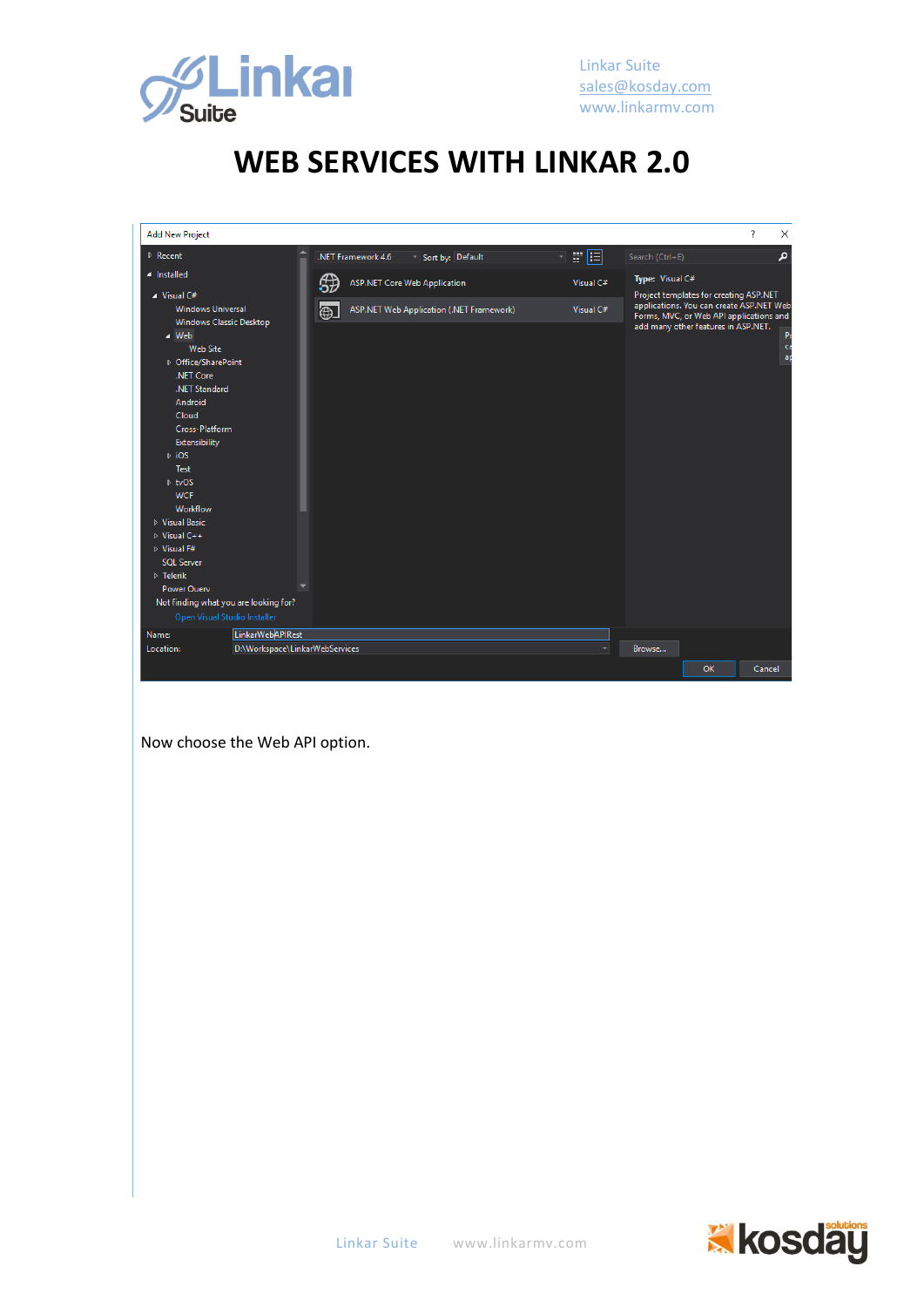

| <b>Add New Project</b>                                                                                                                                                                                                                                                                                                                                                                                                                   |                                                    |         |                    |                                          |  |           |                 |                                                                                                                                                                      | ?      | $\times$       |
|------------------------------------------------------------------------------------------------------------------------------------------------------------------------------------------------------------------------------------------------------------------------------------------------------------------------------------------------------------------------------------------------------------------------------------------|----------------------------------------------------|---------|--------------------|------------------------------------------|--|-----------|-----------------|----------------------------------------------------------------------------------------------------------------------------------------------------------------------|--------|----------------|
| $\triangleright$ Recent                                                                                                                                                                                                                                                                                                                                                                                                                  |                                                    |         | .NET Framework 4.6 | Sort by: Default                         |  | 日眼国       | Search (Ctrl+E) |                                                                                                                                                                      |        | م              |
| 4 Installed                                                                                                                                                                                                                                                                                                                                                                                                                              |                                                    |         |                    | <b>ASP.NET Core Web Application</b>      |  | Visual C# | Type: Visual C# |                                                                                                                                                                      |        |                |
| $\blacktriangle$ Visual C#<br><b>Windows Universal</b><br>Windows Classic Desktop<br>$\blacktriangle$ Web<br><b>Web Site</b><br>D Office/SharePoint<br>.NET Core<br>.NET Standard<br>Android<br>Cloud<br>Cross-Platform<br>Extensibility<br>$\triangleright$ iOS<br><b>Test</b><br>$D$ tvOS<br><b>WCF</b><br>Workflow<br>▷ Visual Basic<br>$\triangleright$ Visual C++<br>D Visual F#<br><b>SOL Server</b><br>$D$ Telerik<br>Power Ouerv |                                                    | Æ<br>⊕⊥ |                    | ASP.NET Web Application (.NET Framework) |  | Visual C# |                 | Project templates for creating ASP.NET<br>applications. You can create ASP.NET Web<br>Forms, MVC, or Web API applications and<br>add many other features in ASP.NET. |        | Pr<br>ca<br>ap |
| Not finding what you are looking for?                                                                                                                                                                                                                                                                                                                                                                                                    |                                                    |         |                    |                                          |  |           |                 |                                                                                                                                                                      |        |                |
| Open Visual Studio Installer                                                                                                                                                                                                                                                                                                                                                                                                             |                                                    |         |                    |                                          |  |           |                 |                                                                                                                                                                      |        |                |
| Name:<br>Location:                                                                                                                                                                                                                                                                                                                                                                                                                       | LinkarWebAPIRest<br>D:\Workspace\LinkarWebServices |         |                    |                                          |  |           | Browse          |                                                                                                                                                                      |        |                |
|                                                                                                                                                                                                                                                                                                                                                                                                                                          |                                                    |         |                    |                                          |  |           |                 |                                                                                                                                                                      |        |                |
|                                                                                                                                                                                                                                                                                                                                                                                                                                          |                                                    |         |                    |                                          |  |           |                 | <b>OK</b>                                                                                                                                                            | Cancel |                |

Now choose the Web API option.

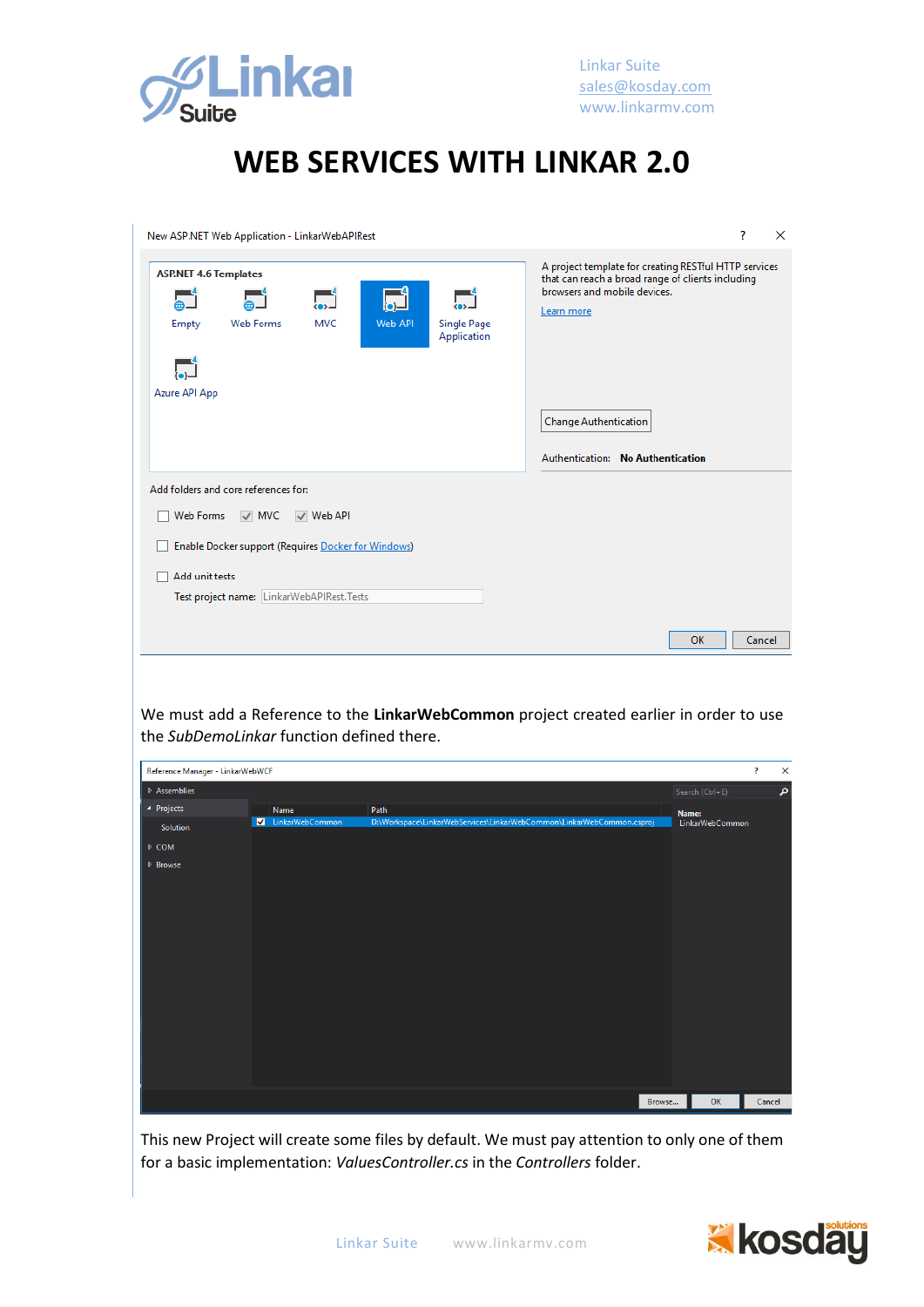

| New ASP.NET Web Application - LinkarWebAPIRest                             |                | ?<br>$\times$ |                                   |  |                                                                                                                                                                                          |
|----------------------------------------------------------------------------|----------------|---------------|-----------------------------------|--|------------------------------------------------------------------------------------------------------------------------------------------------------------------------------------------|
| <b>ASP.NET 4.6 Templates</b><br><b>Web Forms</b><br>Empty<br>Azure API App | <b>MVC</b>     | Web API       | <b>Single Page</b><br>Application |  | A project template for creating RESTful HTTP services<br>that can reach a broad range of clients including<br>browsers and mobile devices.<br>Learn more<br><b>Change Authentication</b> |
| Add folders and core references for:                                       |                |               |                                   |  | Authentication: No Authentication                                                                                                                                                        |
|                                                                            |                |               |                                   |  |                                                                                                                                                                                          |
| Web Forms<br>$\vee$ MVC                                                    | $\vee$ Web API |               |                                   |  |                                                                                                                                                                                          |
| <b>Enable Docker support (Requires Docker for Windows)</b>                 |                |               |                                   |  |                                                                                                                                                                                          |
| Add unit tests                                                             |                |               |                                   |  |                                                                                                                                                                                          |
| Test project name: LinkarWebAPIRest.Tests                                  |                |               |                                   |  |                                                                                                                                                                                          |
|                                                                            |                |               |                                   |  |                                                                                                                                                                                          |
|                                                                            |                |               |                                   |  | OK<br>Cancel                                                                                                                                                                             |

We must add a Reference to the **LinkarWebCommon** project created earlier in order to use the *SubDemoLinkar* function defined there.

| Reference Manager - LinkarWebWCF |                 |                                                                       |                 |                 | $\overline{\cdot}$ | $\times$ |
|----------------------------------|-----------------|-----------------------------------------------------------------------|-----------------|-----------------|--------------------|----------|
| $\triangleright$ Assemblies      |                 |                                                                       | Search (Ctrl+E) |                 |                    | م        |
| ▲ Projects                       | Name            | Path                                                                  | Name:           |                 |                    |          |
| Solution                         | LinkarWebCommon | D:\Workspace\LinkarWebServices\LinkarWebCommon\LinkarWebCommon.csproj |                 | LinkarWebCommon |                    |          |
| $\triangleright$ COM             |                 |                                                                       |                 |                 |                    |          |
| $\triangleright$ Browse          |                 |                                                                       |                 |                 |                    |          |
|                                  |                 |                                                                       |                 |                 |                    |          |
|                                  |                 |                                                                       |                 |                 |                    |          |
|                                  |                 |                                                                       |                 |                 |                    |          |
|                                  |                 |                                                                       |                 |                 |                    |          |
|                                  |                 |                                                                       |                 |                 |                    |          |
|                                  |                 |                                                                       |                 |                 |                    |          |
|                                  |                 |                                                                       |                 |                 |                    |          |
|                                  |                 |                                                                       |                 |                 |                    |          |
|                                  |                 |                                                                       |                 |                 |                    |          |
|                                  |                 |                                                                       |                 |                 |                    |          |
|                                  |                 |                                                                       |                 |                 |                    |          |
|                                  |                 |                                                                       |                 |                 |                    |          |
|                                  |                 | Browse                                                                |                 | OK              | Cancel             |          |

This new Project will create some files by default. We must pay attention to only one of them for a basic implementation: *ValuesController.cs* in the *Controllers* folder.

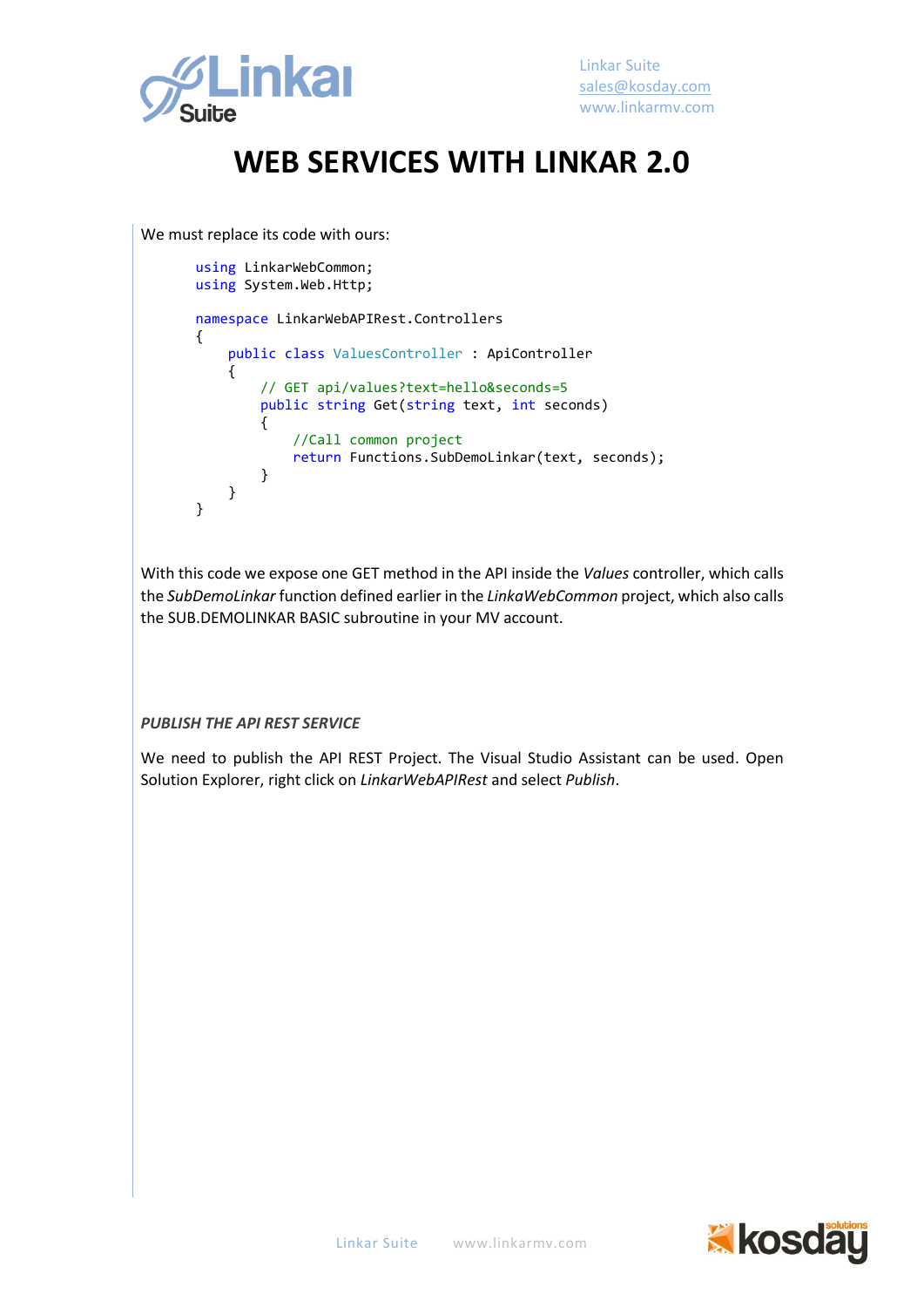

We must replace its code with ours:

```
using LinkarWebCommon;
using System.Web.Http;
namespace LinkarWebAPIRest.Controllers
{
     public class ValuesController : ApiController
     {
         // GET api/values?text=hello&seconds=5
         public string Get(string text, int seconds)
         {
             //Call common project
             return Functions.SubDemoLinkar(text, seconds);
         }
     }
}
```
With this code we expose one GET method in the API inside the *Values* controller, which calls the *SubDemoLinkar* function defined earlier in the *LinkaWebCommon* project, which also calls the SUB.DEMOLINKAR BASIC subroutine in your MV account.

#### *PUBLISH THE API REST SERVICE*

We need to publish the API REST Project. The Visual Studio Assistant can be used. Open Solution Explorer, right click on *LinkarWebAPIRest* and select *Publish*.

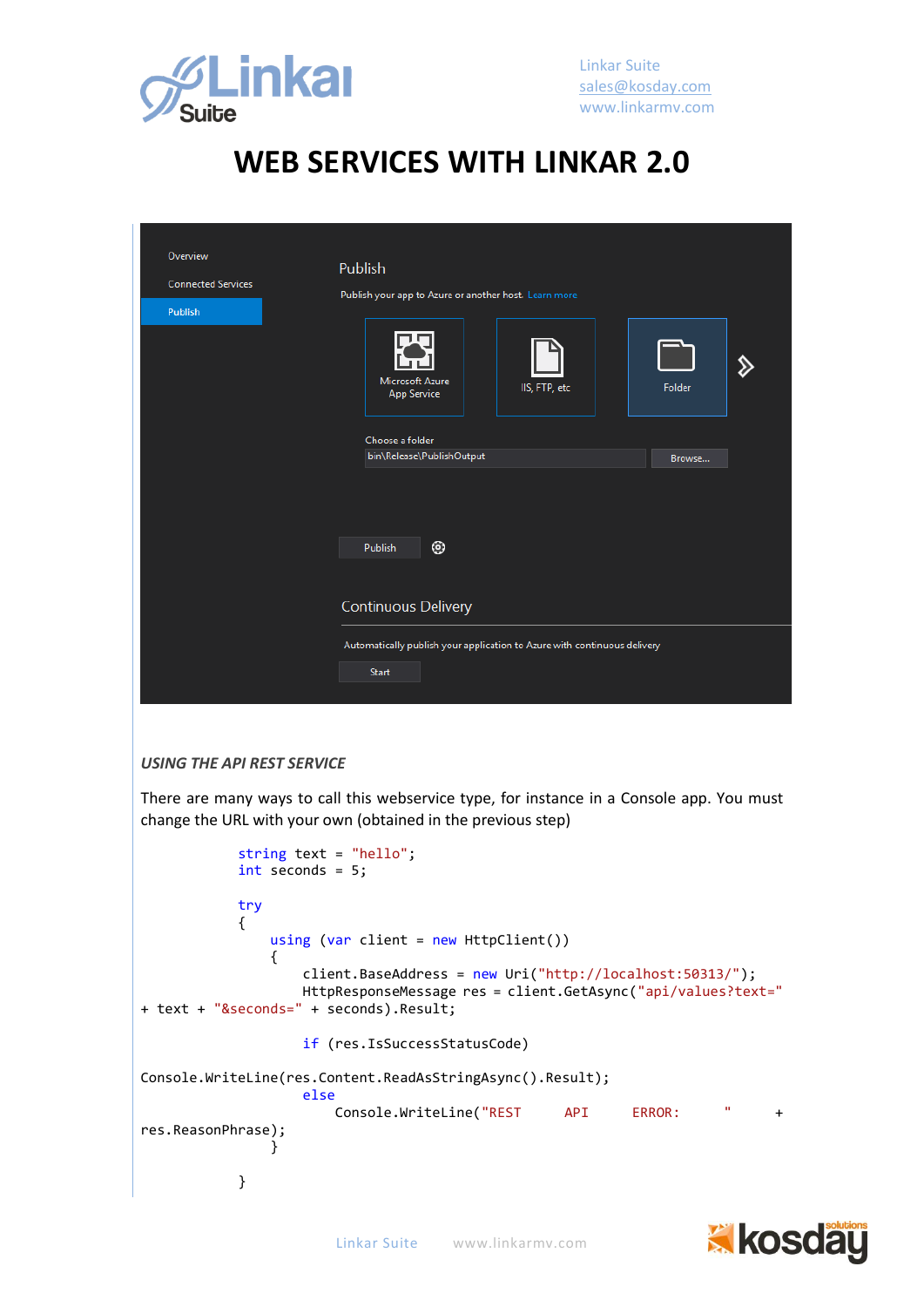

| Overview<br><b>Connected Services</b><br><b>Publish</b> | Publish<br>Publish your app to Azure or another host. Learn more<br>Microsoft Azure<br>IIS, FTP, etc<br><b>App Service</b> | Folder |
|---------------------------------------------------------|----------------------------------------------------------------------------------------------------------------------------|--------|
|                                                         | Choose a folder<br>bin\Release\PublishOutput<br>◉<br>Publish                                                               | Browse |
|                                                         | <b>Continuous Delivery</b><br>Automatically publish your application to Azure with continuous delivery<br>Start            |        |

#### *USING THE API REST SERVICE*

There are many ways to call this webservice type, for instance in a Console app. You must change the URL with your own (obtained in the previous step)

|                    | string text = "hello";                                       |        |   |     |
|--------------------|--------------------------------------------------------------|--------|---|-----|
|                    | $int$ seconds = 5;                                           |        |   |     |
|                    |                                                              |        |   |     |
| try                |                                                              |        |   |     |
|                    |                                                              |        |   |     |
|                    | using (var client = new $Ht$ pclient())                      |        |   |     |
|                    |                                                              |        |   |     |
|                    | client.BaseAddress = $new$ Uri("http://localhost:50313/");   |        |   |     |
|                    | HttpResponseMessage res = client.GetAsync("api/values?text=" |        |   |     |
|                    | + text + "&seconds=" + seconds).Result;                      |        |   |     |
|                    |                                                              |        |   |     |
|                    | if (res.IsSuccessStatusCode)                                 |        |   |     |
|                    |                                                              |        |   |     |
|                    | Console.WriteLine(res.Content.ReadAsStringAsync().Result);   |        |   |     |
|                    | else                                                         |        |   |     |
|                    | Console.WriteLine("REST API                                  | ERROR: | п | $+$ |
| res.ReasonPhrase); |                                                              |        |   |     |
|                    |                                                              |        |   |     |
|                    |                                                              |        |   |     |
|                    |                                                              |        |   |     |

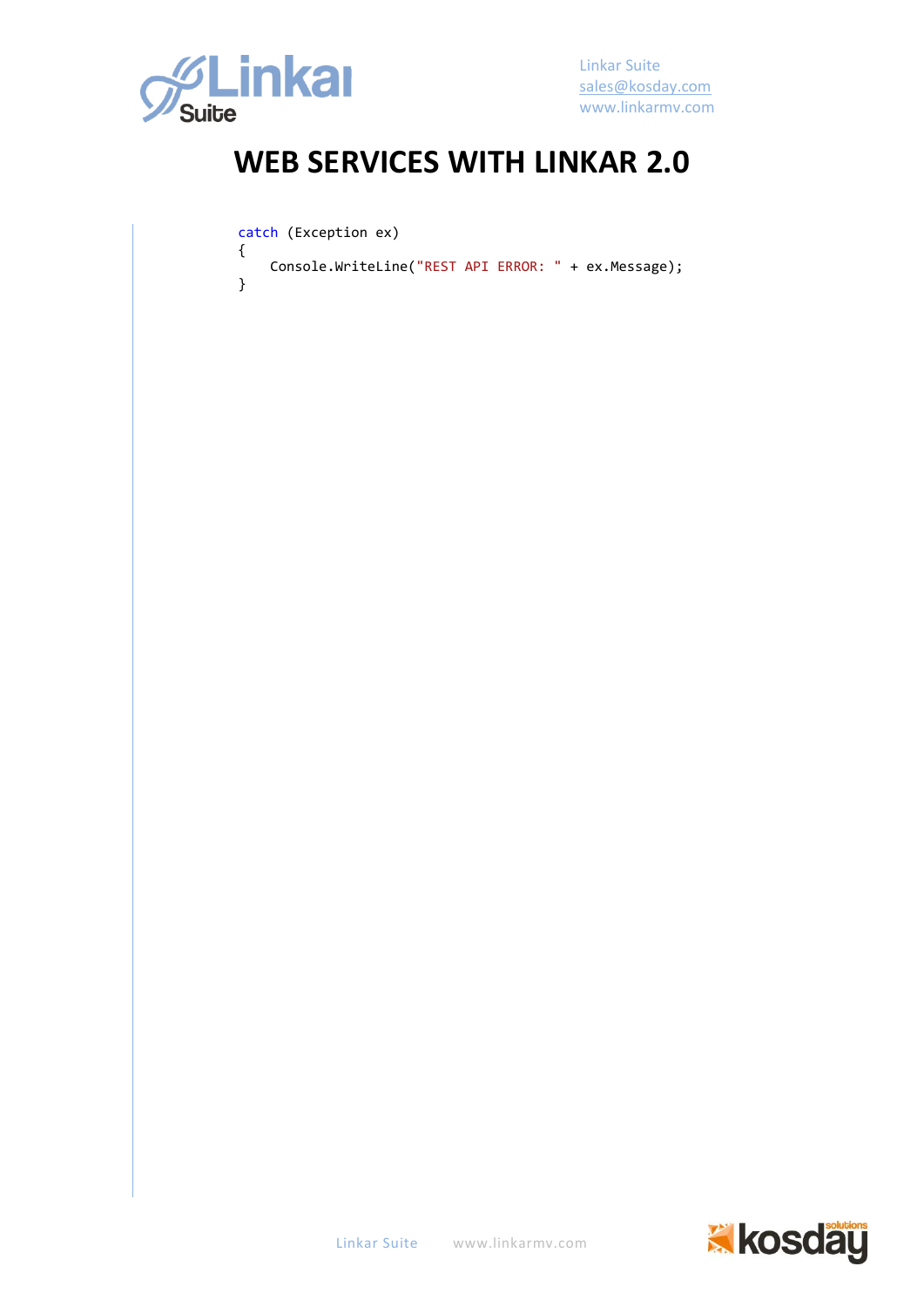

}

Linkar Suite [sales@kosday.com](mailto:sales@kosday.com) www.linkarmv.com

## **WEB SERVICES WITH LINKAR 2.0**

catch (Exception ex)

 { Console.WriteLine("REST API ERROR: " + ex.Message);